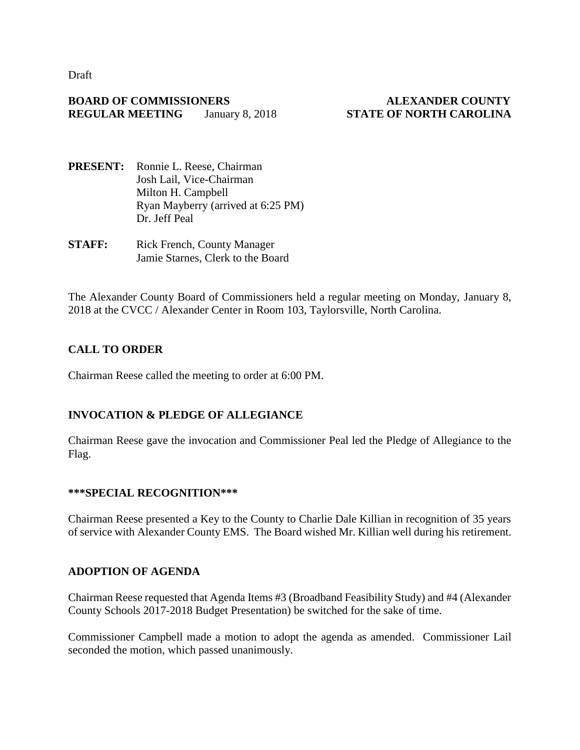Draft

## **BOARD OF COMMISSIONERS ALEXANDER COUNTY REGULAR MEETING** January 8, 2018 **STATE OF NORTH CAROLINA**

- **PRESENT:** Ronnie L. Reese, Chairman Josh Lail, Vice-Chairman Milton H. Campbell Ryan Mayberry (arrived at 6:25 PM) Dr. Jeff Peal
- **STAFF:** Rick French, County Manager Jamie Starnes, Clerk to the Board

The Alexander County Board of Commissioners held a regular meeting on Monday, January 8, 2018 at the CVCC / Alexander Center in Room 103, Taylorsville, North Carolina.

# **CALL TO ORDER**

Chairman Reese called the meeting to order at 6:00 PM.

# **INVOCATION & PLEDGE OF ALLEGIANCE**

Chairman Reese gave the invocation and Commissioner Peal led the Pledge of Allegiance to the Flag.

### **\*\*\*SPECIAL RECOGNITION\*\*\***

Chairman Reese presented a Key to the County to Charlie Dale Killian in recognition of 35 years of service with Alexander County EMS. The Board wished Mr. Killian well during his retirement.

# **ADOPTION OF AGENDA**

Chairman Reese requested that Agenda Items #3 (Broadband Feasibility Study) and #4 (Alexander County Schools 2017-2018 Budget Presentation) be switched for the sake of time.

Commissioner Campbell made a motion to adopt the agenda as amended. Commissioner Lail seconded the motion, which passed unanimously.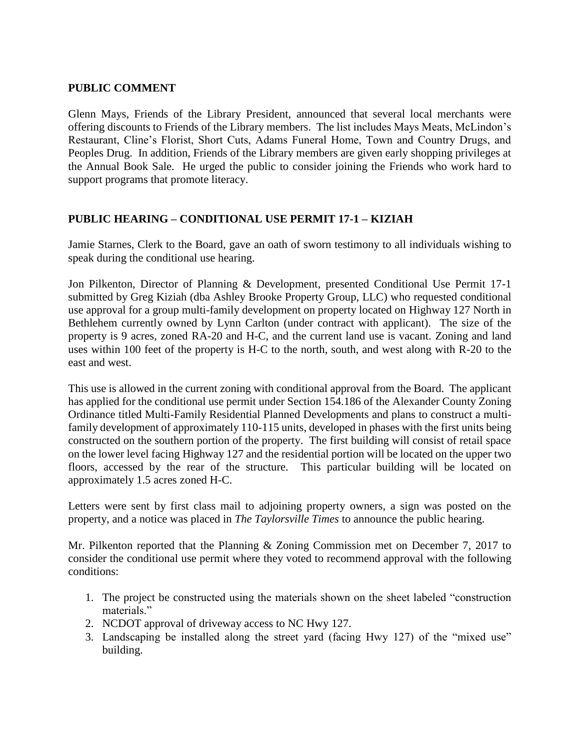## **PUBLIC COMMENT**

Glenn Mays, Friends of the Library President, announced that several local merchants were offering discounts to Friends of the Library members. The list includes Mays Meats, McLindon's Restaurant, Cline's Florist, Short Cuts, Adams Funeral Home, Town and Country Drugs, and Peoples Drug. In addition, Friends of the Library members are given early shopping privileges at the Annual Book Sale. He urged the public to consider joining the Friends who work hard to support programs that promote literacy.

# **PUBLIC HEARING – CONDITIONAL USE PERMIT 17-1 – KIZIAH**

Jamie Starnes, Clerk to the Board, gave an oath of sworn testimony to all individuals wishing to speak during the conditional use hearing.

Jon Pilkenton, Director of Planning & Development, presented Conditional Use Permit 17-1 submitted by Greg Kiziah (dba Ashley Brooke Property Group, LLC) who requested conditional use approval for a group multi-family development on property located on Highway 127 North in Bethlehem currently owned by Lynn Carlton (under contract with applicant). The size of the property is 9 acres, zoned RA-20 and H-C, and the current land use is vacant. Zoning and land uses within 100 feet of the property is H-C to the north, south, and west along with R-20 to the east and west.

This use is allowed in the current zoning with conditional approval from the Board. The applicant has applied for the conditional use permit under Section 154.186 of the Alexander County Zoning Ordinance titled Multi-Family Residential Planned Developments and plans to construct a multifamily development of approximately 110-115 units, developed in phases with the first units being constructed on the southern portion of the property. The first building will consist of retail space on the lower level facing Highway 127 and the residential portion will be located on the upper two floors, accessed by the rear of the structure. This particular building will be located on approximately 1.5 acres zoned H-C.

Letters were sent by first class mail to adjoining property owners, a sign was posted on the property, and a notice was placed in *The Taylorsville Times* to announce the public hearing.

Mr. Pilkenton reported that the Planning & Zoning Commission met on December 7, 2017 to consider the conditional use permit where they voted to recommend approval with the following conditions:

- 1. The project be constructed using the materials shown on the sheet labeled "construction materials."
- 2. NCDOT approval of driveway access to NC Hwy 127.
- 3. Landscaping be installed along the street yard (facing Hwy 127) of the "mixed use" building.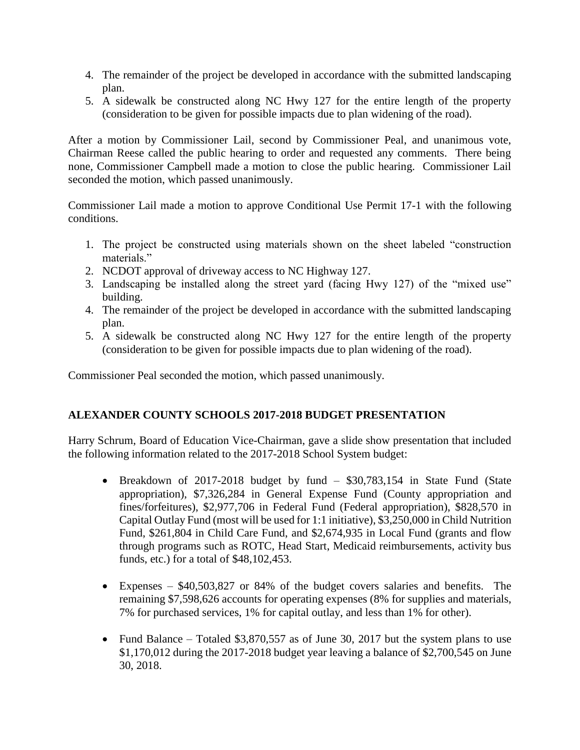- 4. The remainder of the project be developed in accordance with the submitted landscaping plan.
- 5. A sidewalk be constructed along NC Hwy 127 for the entire length of the property (consideration to be given for possible impacts due to plan widening of the road).

After a motion by Commissioner Lail, second by Commissioner Peal, and unanimous vote, Chairman Reese called the public hearing to order and requested any comments. There being none, Commissioner Campbell made a motion to close the public hearing. Commissioner Lail seconded the motion, which passed unanimously.

Commissioner Lail made a motion to approve Conditional Use Permit 17-1 with the following conditions.

- 1. The project be constructed using materials shown on the sheet labeled "construction materials."
- 2. NCDOT approval of driveway access to NC Highway 127.
- 3. Landscaping be installed along the street yard (facing Hwy 127) of the "mixed use" building.
- 4. The remainder of the project be developed in accordance with the submitted landscaping plan.
- 5. A sidewalk be constructed along NC Hwy 127 for the entire length of the property (consideration to be given for possible impacts due to plan widening of the road).

Commissioner Peal seconded the motion, which passed unanimously.

# **ALEXANDER COUNTY SCHOOLS 2017-2018 BUDGET PRESENTATION**

Harry Schrum, Board of Education Vice-Chairman, gave a slide show presentation that included the following information related to the 2017-2018 School System budget:

- Breakdown of 2017-2018 budget by fund \$30,783,154 in State Fund (State appropriation), \$7,326,284 in General Expense Fund (County appropriation and fines/forfeitures), \$2,977,706 in Federal Fund (Federal appropriation), \$828,570 in Capital Outlay Fund (most will be used for 1:1 initiative), \$3,250,000 in Child Nutrition Fund, \$261,804 in Child Care Fund, and \$2,674,935 in Local Fund (grants and flow through programs such as ROTC, Head Start, Medicaid reimbursements, activity bus funds, etc.) for a total of \$48,102,453.
- Expenses \$40,503,827 or 84% of the budget covers salaries and benefits. The remaining \$7,598,626 accounts for operating expenses (8% for supplies and materials, 7% for purchased services, 1% for capital outlay, and less than 1% for other).
- Fund Balance Totaled \$3,870,557 as of June 30, 2017 but the system plans to use \$1,170,012 during the 2017-2018 budget year leaving a balance of \$2,700,545 on June 30, 2018.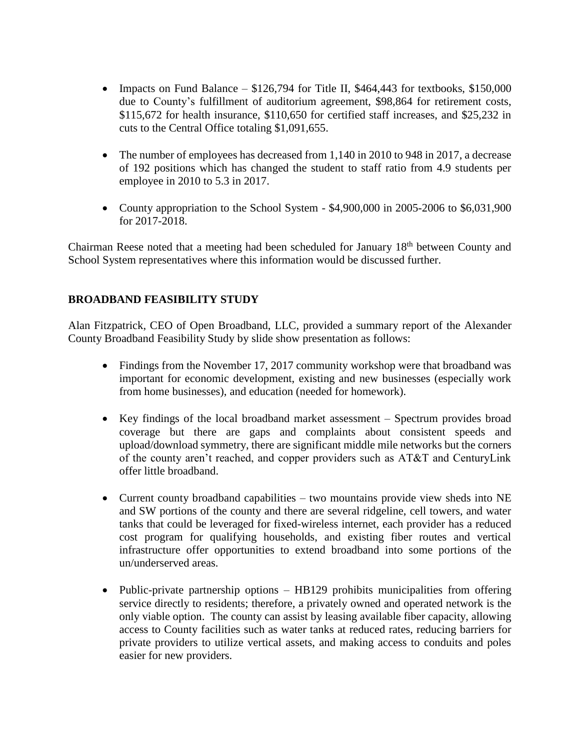- Impacts on Fund Balance  $$126,794$  for Title II, \$464,443 for textbooks, \$150,000 due to County's fulfillment of auditorium agreement, \$98,864 for retirement costs, \$115,672 for health insurance, \$110,650 for certified staff increases, and \$25,232 in cuts to the Central Office totaling \$1,091,655.
- The number of employees has decreased from 1,140 in 2010 to 948 in 2017, a decrease of 192 positions which has changed the student to staff ratio from 4.9 students per employee in 2010 to 5.3 in 2017.
- County appropriation to the School System \$4,900,000 in 2005-2006 to \$6,031,900 for 2017-2018.

Chairman Reese noted that a meeting had been scheduled for January 18th between County and School System representatives where this information would be discussed further.

# **BROADBAND FEASIBILITY STUDY**

Alan Fitzpatrick, CEO of Open Broadband, LLC, provided a summary report of the Alexander County Broadband Feasibility Study by slide show presentation as follows:

- Findings from the November 17, 2017 community workshop were that broadband was important for economic development, existing and new businesses (especially work from home businesses), and education (needed for homework).
- Key findings of the local broadband market assessment Spectrum provides broad coverage but there are gaps and complaints about consistent speeds and upload/download symmetry, there are significant middle mile networks but the corners of the county aren't reached, and copper providers such as AT&T and CenturyLink offer little broadband.
- Current county broadband capabilities two mountains provide view sheds into NE and SW portions of the county and there are several ridgeline, cell towers, and water tanks that could be leveraged for fixed-wireless internet, each provider has a reduced cost program for qualifying households, and existing fiber routes and vertical infrastructure offer opportunities to extend broadband into some portions of the un/underserved areas.
- Public-private partnership options HB129 prohibits municipalities from offering service directly to residents; therefore, a privately owned and operated network is the only viable option. The county can assist by leasing available fiber capacity, allowing access to County facilities such as water tanks at reduced rates, reducing barriers for private providers to utilize vertical assets, and making access to conduits and poles easier for new providers.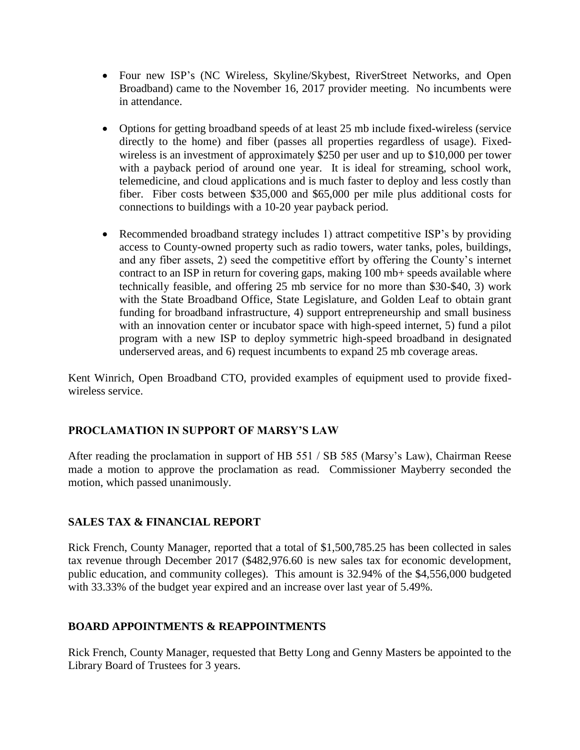- Four new ISP's (NC Wireless, Skyline/Skybest, RiverStreet Networks, and Open Broadband) came to the November 16, 2017 provider meeting. No incumbents were in attendance.
- Options for getting broadband speeds of at least 25 mb include fixed-wireless (service directly to the home) and fiber (passes all properties regardless of usage). Fixedwireless is an investment of approximately \$250 per user and up to \$10,000 per tower with a payback period of around one year. It is ideal for streaming, school work, telemedicine, and cloud applications and is much faster to deploy and less costly than fiber. Fiber costs between \$35,000 and \$65,000 per mile plus additional costs for connections to buildings with a 10-20 year payback period.
- Recommended broadband strategy includes 1) attract competitive ISP's by providing access to County-owned property such as radio towers, water tanks, poles, buildings, and any fiber assets, 2) seed the competitive effort by offering the County's internet contract to an ISP in return for covering gaps, making 100 mb+ speeds available where technically feasible, and offering 25 mb service for no more than \$30-\$40, 3) work with the State Broadband Office, State Legislature, and Golden Leaf to obtain grant funding for broadband infrastructure, 4) support entrepreneurship and small business with an innovation center or incubator space with high-speed internet, 5) fund a pilot program with a new ISP to deploy symmetric high-speed broadband in designated underserved areas, and 6) request incumbents to expand 25 mb coverage areas.

Kent Winrich, Open Broadband CTO, provided examples of equipment used to provide fixedwireless service.

# **PROCLAMATION IN SUPPORT OF MARSY'S LAW**

After reading the proclamation in support of HB 551 / SB 585 (Marsy's Law), Chairman Reese made a motion to approve the proclamation as read. Commissioner Mayberry seconded the motion, which passed unanimously.

# **SALES TAX & FINANCIAL REPORT**

Rick French, County Manager, reported that a total of \$1,500,785.25 has been collected in sales tax revenue through December 2017 (\$482,976.60 is new sales tax for economic development, public education, and community colleges). This amount is 32.94% of the \$4,556,000 budgeted with 33.33% of the budget year expired and an increase over last year of 5.49%.

# **BOARD APPOINTMENTS & REAPPOINTMENTS**

Rick French, County Manager, requested that Betty Long and Genny Masters be appointed to the Library Board of Trustees for 3 years.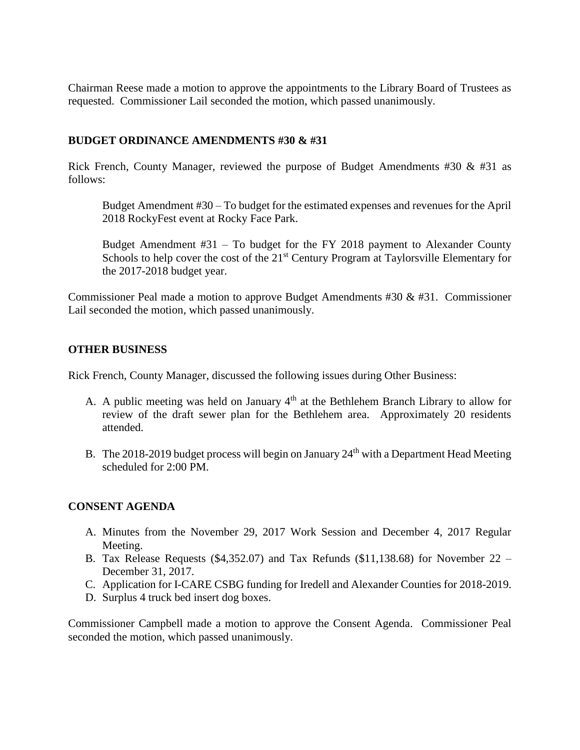Chairman Reese made a motion to approve the appointments to the Library Board of Trustees as requested. Commissioner Lail seconded the motion, which passed unanimously.

## **BUDGET ORDINANCE AMENDMENTS #30 & #31**

Rick French, County Manager, reviewed the purpose of Budget Amendments #30 & #31 as follows:

Budget Amendment #30 – To budget for the estimated expenses and revenues for the April 2018 RockyFest event at Rocky Face Park.

Budget Amendment #31 – To budget for the FY 2018 payment to Alexander County Schools to help cover the cost of the  $21<sup>st</sup>$  Century Program at Taylorsville Elementary for the 2017-2018 budget year.

Commissioner Peal made a motion to approve Budget Amendments #30 & #31. Commissioner Lail seconded the motion, which passed unanimously.

## **OTHER BUSINESS**

Rick French, County Manager, discussed the following issues during Other Business:

- A. A public meeting was held on January  $4<sup>th</sup>$  at the Bethlehem Branch Library to allow for review of the draft sewer plan for the Bethlehem area. Approximately 20 residents attended.
- B. The 2018-2019 budget process will begin on January  $24<sup>th</sup>$  with a Department Head Meeting scheduled for 2:00 PM.

### **CONSENT AGENDA**

- A. Minutes from the November 29, 2017 Work Session and December 4, 2017 Regular Meeting.
- B. Tax Release Requests (\$4,352.07) and Tax Refunds (\$11,138.68) for November 22 December 31, 2017.
- C. Application for I-CARE CSBG funding for Iredell and Alexander Counties for 2018-2019.
- D. Surplus 4 truck bed insert dog boxes.

Commissioner Campbell made a motion to approve the Consent Agenda. Commissioner Peal seconded the motion, which passed unanimously.